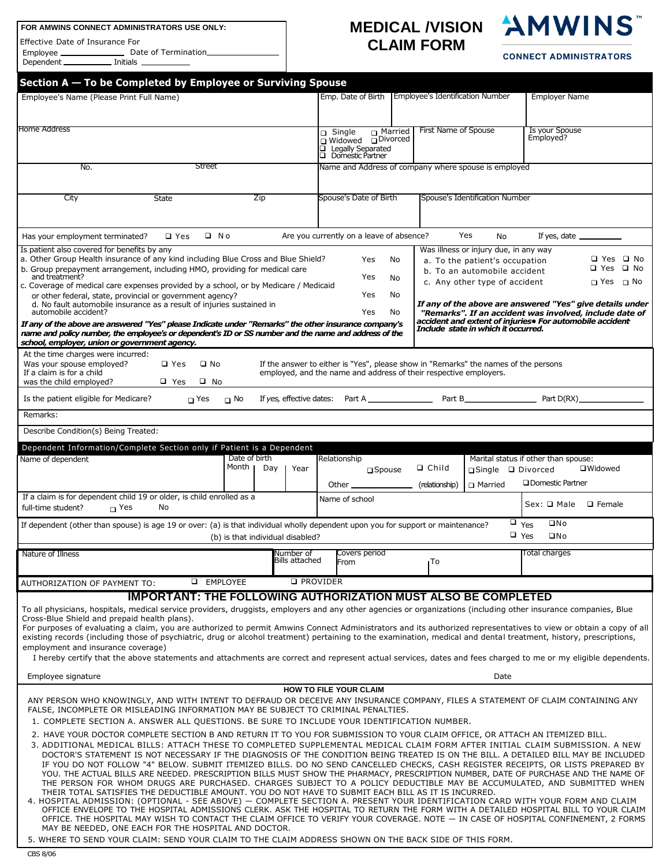## **FOR AMWINS CONNECT ADMINISTRATORS USE ONLY:** Effective Date of Insurance For Employee \_\_\_\_\_\_\_\_\_\_\_\_\_\_\_ Date<br>Dependent \_\_\_\_\_\_\_\_\_\_\_\_ Initials \_ \_ Date of Termination\_ Dependent\_  $\overline{\phantom{0}}$

## **MEDICAL /VISION CLAIM FORM**



## **CONNECT ADMINISTRATORS**

| Employee's Name (Please Print Full Name)                                                                                                                                                                                                                                                                                                                                                                                                                                                                                                                                                                                                                                                                                                                                                                                                                                                                                                                                                                                                                                                                           |                             |                                                                                                                                                          |                                  |                                                                                                                                          |                                                                                                                                                                                  |  |
|--------------------------------------------------------------------------------------------------------------------------------------------------------------------------------------------------------------------------------------------------------------------------------------------------------------------------------------------------------------------------------------------------------------------------------------------------------------------------------------------------------------------------------------------------------------------------------------------------------------------------------------------------------------------------------------------------------------------------------------------------------------------------------------------------------------------------------------------------------------------------------------------------------------------------------------------------------------------------------------------------------------------------------------------------------------------------------------------------------------------|-----------------------------|----------------------------------------------------------------------------------------------------------------------------------------------------------|----------------------------------|------------------------------------------------------------------------------------------------------------------------------------------|----------------------------------------------------------------------------------------------------------------------------------------------------------------------------------|--|
|                                                                                                                                                                                                                                                                                                                                                                                                                                                                                                                                                                                                                                                                                                                                                                                                                                                                                                                                                                                                                                                                                                                    |                             | Emp. Date of Birth                                                                                                                                       | Employee's Identification Number |                                                                                                                                          | <b>Employer Name</b>                                                                                                                                                             |  |
| <b>Home Address</b>                                                                                                                                                                                                                                                                                                                                                                                                                                                                                                                                                                                                                                                                                                                                                                                                                                                                                                                                                                                                                                                                                                |                             | $\sqcap$ Married<br>$\sqcap$ Single<br>□ Widowed □ Divorced<br>$\overline{\square}$ Legally Separated<br><b>Q</b> Domestic Partner                       | <b>First Name of Spouse</b>      |                                                                                                                                          | Is your Spouse<br>Employed?                                                                                                                                                      |  |
| <b>Street</b><br>No.                                                                                                                                                                                                                                                                                                                                                                                                                                                                                                                                                                                                                                                                                                                                                                                                                                                                                                                                                                                                                                                                                               |                             | Name and Address of company where spouse is employed                                                                                                     |                                  |                                                                                                                                          |                                                                                                                                                                                  |  |
|                                                                                                                                                                                                                                                                                                                                                                                                                                                                                                                                                                                                                                                                                                                                                                                                                                                                                                                                                                                                                                                                                                                    |                             |                                                                                                                                                          |                                  | Spouse's Identification Number                                                                                                           |                                                                                                                                                                                  |  |
| City<br><b>State</b><br>Zip                                                                                                                                                                                                                                                                                                                                                                                                                                                                                                                                                                                                                                                                                                                                                                                                                                                                                                                                                                                                                                                                                        |                             | Spouse's Date of Birth                                                                                                                                   |                                  |                                                                                                                                          |                                                                                                                                                                                  |  |
| $\Box$ No<br>Has your employment terminated?<br>$\square$ Yes                                                                                                                                                                                                                                                                                                                                                                                                                                                                                                                                                                                                                                                                                                                                                                                                                                                                                                                                                                                                                                                      |                             | Are you currently on a leave of absence?                                                                                                                 |                                  | Yes<br><b>No</b>                                                                                                                         | If yes, date $\_\_$                                                                                                                                                              |  |
| Is patient also covered for benefits by any<br>a. Other Group Health insurance of any kind including Blue Cross and Blue Shield?<br>b. Group prepayment arrangement, including HMO, providing for medical care<br>and treatment?<br>c. Coverage of medical care expenses provided by a school, or by Medicare / Medicaid<br>or other federal, state, provincial or government agency?                                                                                                                                                                                                                                                                                                                                                                                                                                                                                                                                                                                                                                                                                                                              |                             | Yes<br>Yes<br>Yes                                                                                                                                        | No.<br>No<br>No                  | Was illness or injury due, in any way<br>a. To the patient's occupation<br>b. To an automobile accident<br>c. Any other type of accident | □ Yes □ No<br>□ Yes □ No<br>□ Yes □ No                                                                                                                                           |  |
| d. No fault automobile insurance as a result of injuries sustained in<br>automobile accident?<br>If any of the above are answered "Yes" please Indicate under "Remarks" the other insurance company's                                                                                                                                                                                                                                                                                                                                                                                                                                                                                                                                                                                                                                                                                                                                                                                                                                                                                                              |                             | Yes                                                                                                                                                      | No                               |                                                                                                                                          | If any of the above are answered "Yes" give details under<br>"Remarks". If an accident was involved, include date of<br>accident and extent of injuries. For automobile accident |  |
| name and policy number, the employee's or dependent's ID or SS number and the name and address of the<br>school, employer, union or government agency.                                                                                                                                                                                                                                                                                                                                                                                                                                                                                                                                                                                                                                                                                                                                                                                                                                                                                                                                                             |                             |                                                                                                                                                          |                                  | Include state in which it occurred.                                                                                                      |                                                                                                                                                                                  |  |
| At the time charges were incurred:<br>Was your spouse employed?<br>$\square$ No<br>$\square$ Yes<br>If a claim is for a child<br>$\Box$ Yes<br>$\Box$ No<br>was the child employed?                                                                                                                                                                                                                                                                                                                                                                                                                                                                                                                                                                                                                                                                                                                                                                                                                                                                                                                                |                             | If the answer to either is "Yes", please show in "Remarks" the names of the persons<br>employed, and the name and address of their respective employers. |                                  |                                                                                                                                          |                                                                                                                                                                                  |  |
| Is the patient eligible for Medicare?<br>$\Box$ Yes<br>$\Box$ No                                                                                                                                                                                                                                                                                                                                                                                                                                                                                                                                                                                                                                                                                                                                                                                                                                                                                                                                                                                                                                                   |                             |                                                                                                                                                          |                                  |                                                                                                                                          |                                                                                                                                                                                  |  |
| Remarks:                                                                                                                                                                                                                                                                                                                                                                                                                                                                                                                                                                                                                                                                                                                                                                                                                                                                                                                                                                                                                                                                                                           |                             |                                                                                                                                                          |                                  |                                                                                                                                          |                                                                                                                                                                                  |  |
| Describe Condition(s) Being Treated:                                                                                                                                                                                                                                                                                                                                                                                                                                                                                                                                                                                                                                                                                                                                                                                                                                                                                                                                                                                                                                                                               |                             |                                                                                                                                                          |                                  |                                                                                                                                          |                                                                                                                                                                                  |  |
| Dependent Information/Complete Section only if Patient is a Dependent                                                                                                                                                                                                                                                                                                                                                                                                                                                                                                                                                                                                                                                                                                                                                                                                                                                                                                                                                                                                                                              |                             |                                                                                                                                                          |                                  |                                                                                                                                          |                                                                                                                                                                                  |  |
| Date of birth<br>Name of dependent<br>Month <sub>I</sub>                                                                                                                                                                                                                                                                                                                                                                                                                                                                                                                                                                                                                                                                                                                                                                                                                                                                                                                                                                                                                                                           |                             | Relationship                                                                                                                                             |                                  |                                                                                                                                          | Marital status if other than spouse:                                                                                                                                             |  |
|                                                                                                                                                                                                                                                                                                                                                                                                                                                                                                                                                                                                                                                                                                                                                                                                                                                                                                                                                                                                                                                                                                                    | Day<br>Year                 | $\sqcap$ Spouse<br>Other $\mathbf{-}$                                                                                                                    | $\Box$ Child<br>(relationship)   | □Single □ Divorced<br>∩ Married                                                                                                          | □Widowed<br><b>ODomestic Partner</b>                                                                                                                                             |  |
| If a claim is for dependent child 19 or older, is child enrolled as a<br>full-time student?<br>$\sqcap$ Yes<br>No                                                                                                                                                                                                                                                                                                                                                                                                                                                                                                                                                                                                                                                                                                                                                                                                                                                                                                                                                                                                  |                             | Name of school                                                                                                                                           |                                  |                                                                                                                                          | Sex: Q Male<br>□ Female                                                                                                                                                          |  |
| If dependent (other than spouse) is age 19 or over: (a) is that individual wholly dependent upon you for support or maintenance?<br>(b) is that individual disabled?                                                                                                                                                                                                                                                                                                                                                                                                                                                                                                                                                                                                                                                                                                                                                                                                                                                                                                                                               |                             |                                                                                                                                                          |                                  | $\Box$ Yes<br>$\Box$ Yes                                                                                                                 | $\square$ No<br>$\square$ No                                                                                                                                                     |  |
| Nature of Illness                                                                                                                                                                                                                                                                                                                                                                                                                                                                                                                                                                                                                                                                                                                                                                                                                                                                                                                                                                                                                                                                                                  | Number of<br>Bills attached | Covers period<br>From                                                                                                                                    | ∎To                              |                                                                                                                                          | Total charges                                                                                                                                                                    |  |
| <b>Q</b> EMPLOYEE<br>AUTHORIZATION OF PAYMENT TO:                                                                                                                                                                                                                                                                                                                                                                                                                                                                                                                                                                                                                                                                                                                                                                                                                                                                                                                                                                                                                                                                  |                             | <b>Q</b> PROVIDER                                                                                                                                        |                                  |                                                                                                                                          |                                                                                                                                                                                  |  |
| <b>IMPORTANT: THE FOLLOWING AUTHORIZATION MUST ALSO BE COMPLETED</b>                                                                                                                                                                                                                                                                                                                                                                                                                                                                                                                                                                                                                                                                                                                                                                                                                                                                                                                                                                                                                                               |                             |                                                                                                                                                          |                                  |                                                                                                                                          |                                                                                                                                                                                  |  |
| To all physicians, hospitals, medical service providers, druggists, employers and any other agencies or organizations (including other insurance companies, Blue<br>Cross-Blue Shield and prepaid health plans).<br>For purposes of evaluating a claim, you are authorized to permit Amwins Connect Administrators and its authorized representatives to view or obtain a copy of all<br>existing records (including those of psychiatric, drug or alcohol treatment) pertaining to the examination, medical and dental treatment, history, prescriptions,<br>employment and insurance coverage)<br>I hereby certify that the above statements and attachments are correct and represent actual services, dates and fees charged to me or my eligible dependents.<br>Employee signature                                                                                                                                                                                                                                                                                                                            |                             |                                                                                                                                                          |                                  | Date                                                                                                                                     |                                                                                                                                                                                  |  |
| ANY PERSON WHO KNOWINGLY, AND WITH INTENT TO DEFRAUD OR DECEIVE ANY INSURANCE COMPANY, FILES A STATEMENT OF CLAIM CONTAINING ANY<br>FALSE, INCOMPLETE OR MISLEADING INFORMATION MAY BE SUBJECT TO CRIMINAL PENALTIES.<br>1. COMPLETE SECTION A. ANSWER ALL QUESTIONS. BE SURE TO INCLUDE YOUR IDENTIFICATION NUMBER.<br>2. HAVE YOUR DOCTOR COMPLETE SECTION B AND RETURN IT TO YOU FOR SUBMISSION TO YOUR CLAIM OFFICE, OR ATTACH AN ITEMIZED BILL.<br>3. ADDITIONAL MEDICAL BILLS: ATTACH THESE TO COMPLETED SUPPLEMENTAL MEDICAL CLAIM FORM AFTER INITIAL CLAIM SUBMISSION. A NEW                                                                                                                                                                                                                                                                                                                                                                                                                                                                                                                               |                             | <b>HOW TO FILE YOUR CLAIM</b>                                                                                                                            |                                  |                                                                                                                                          |                                                                                                                                                                                  |  |
| DOCTOR'S STATEMENT IS NOT NECESSARY IF THE DIAGNOSIS OF THE CONDITION BEING TREATED IS ON THE BILL. A DETAILED BILL MAY BE INCLUDED<br>IF YOU DO NOT FOLLOW "4" BELOW. SUBMIT ITEMIZED BILLS. DO NO SEND CANCELLED CHECKS, CASH REGISTER RECEIPTS, OR LISTS PREPARED BY<br>YOU. THE ACTUAL BILLS ARE NEEDED. PRESCRIPTION BILLS MUST SHOW THE PHARMACY, PRESCRIPTION NUMBER, DATE OF PURCHASE AND THE NAME OF<br>THE PERSON FOR WHOM DRUGS ARE PURCHASED. CHARGES SUBJECT TO A POLICY DEDUCTIBLE MAY BE ACCUMULATED, AND SUBMITTED WHEN<br>THEIR TOTAL SATISFIES THE DEDUCTIBLE AMOUNT. YOU DO NOT HAVE TO SUBMIT EACH BILL AS IT IS INCURRED.<br>4. HOSPITAL ADMISSION: (OPTIONAL - SEE ABOVE) — COMPLETE SECTION A. PRESENT YOUR IDENTIFICATION CARD WITH YOUR FORM AND CLAIM<br>OFFICE ENVELOPE TO THE HOSPITAL ADMISSIONS CLERK. ASK THE HOSPITAL TO RETURN THE FORM WITH A DETAILED HOSPITAL BILL TO YOUR CLAIM<br>OFFICE. THE HOSPITAL MAY WISH TO CONTACT THE CLAIM OFFICE TO VERIFY YOUR COVERAGE. NOTE — IN CASE OF HOSPITAL CONFINEMENT, 2 FORMS<br>MAY BE NEEDED, ONE EACH FOR THE HOSPITAL AND DOCTOR. |                             |                                                                                                                                                          |                                  |                                                                                                                                          |                                                                                                                                                                                  |  |
| 5. WHERE TO SEND YOUR CLAIM: SEND YOUR CLAIM TO THE CLAIM ADDRESS SHOWN ON THE BACK SIDE OF THIS FORM.<br>CBS 8/06                                                                                                                                                                                                                                                                                                                                                                                                                                                                                                                                                                                                                                                                                                                                                                                                                                                                                                                                                                                                 |                             |                                                                                                                                                          |                                  |                                                                                                                                          |                                                                                                                                                                                  |  |